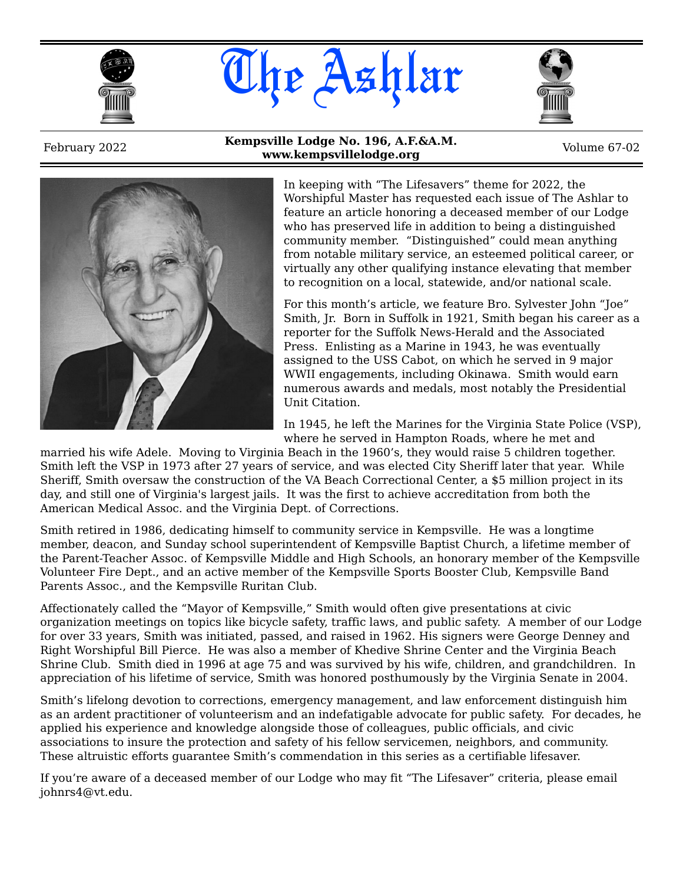





February 2022 **Kempsville Lodge No. 196, A.F.&A.M. www.kempsvillelodge.org**<br>**www.kempsvillelodge.org** Volume 67-02



In keeping with "The Lifesavers" theme for 2022, the Worshipful Master has requested each issue of The Ashlar to feature an article honoring a deceased member of our Lodge who has preserved life in addition to being a distinguished community member. "Distinguished" could mean anything from notable military service, an esteemed political career, or virtually any other qualifying instance elevating that member to recognition on a local, statewide, and/or national scale.

For this month's article, we feature Bro. Sylvester John "Joe" Smith, Jr. Born in Suffolk in 1921, Smith began his career as a reporter for the Suffolk News-Herald and the Associated Press. Enlisting as a Marine in 1943, he was eventually assigned to the USS Cabot, on which he served in 9 major WWII engagements, including Okinawa. Smith would earn numerous awards and medals, most notably the Presidential Unit Citation.

In 1945, he left the Marines for the Virginia State Police (VSP), where he served in Hampton Roads, where he met and

married his wife Adele. Moving to Virginia Beach in the 1960's, they would raise 5 children together. Smith left the VSP in 1973 after 27 years of service, and was elected City Sheriff later that year. While Sheriff, Smith oversaw the construction of the VA Beach Correctional Center, a \$5 million project in its day, and still one of Virginia's largest jails. It was the first to achieve accreditation from both the American Medical Assoc. and the Virginia Dept. of Corrections.

Smith retired in 1986, dedicating himself to community service in Kempsville. He was a longtime member, deacon, and Sunday school superintendent of Kempsville Baptist Church, a lifetime member of the Parent-Teacher Assoc. of Kempsville Middle and High Schools, an honorary member of the Kempsville Volunteer Fire Dept., and an active member of the Kempsville Sports Booster Club, Kempsville Band Parents Assoc., and the Kempsville Ruritan Club.

Affectionately called the "Mayor of Kempsville," Smith would often give presentations at civic organization meetings on topics like bicycle safety, traffic laws, and public safety. A member of our Lodge for over 33 years, Smith was initiated, passed, and raised in 1962. His signers were George Denney and Right Worshipful Bill Pierce. He was also a member of Khedive Shrine Center and the Virginia Beach Shrine Club. Smith died in 1996 at age 75 and was survived by his wife, children, and grandchildren. In appreciation of his lifetime of service, Smith was honored posthumously by the Virginia Senate in 2004.

Smith's lifelong devotion to corrections, emergency management, and law enforcement distinguish him as an ardent practitioner of volunteerism and an indefatigable advocate for public safety. For decades, he applied his experience and knowledge alongside those of colleagues, public officials, and civic associations to insure the protection and safety of his fellow servicemen, neighbors, and community. These altruistic efforts guarantee Smith's commendation in this series as a certifiable lifesaver.

If you're aware of a deceased member of our Lodge who may fit "The Lifesaver" criteria, please email johnrs4@vt.edu.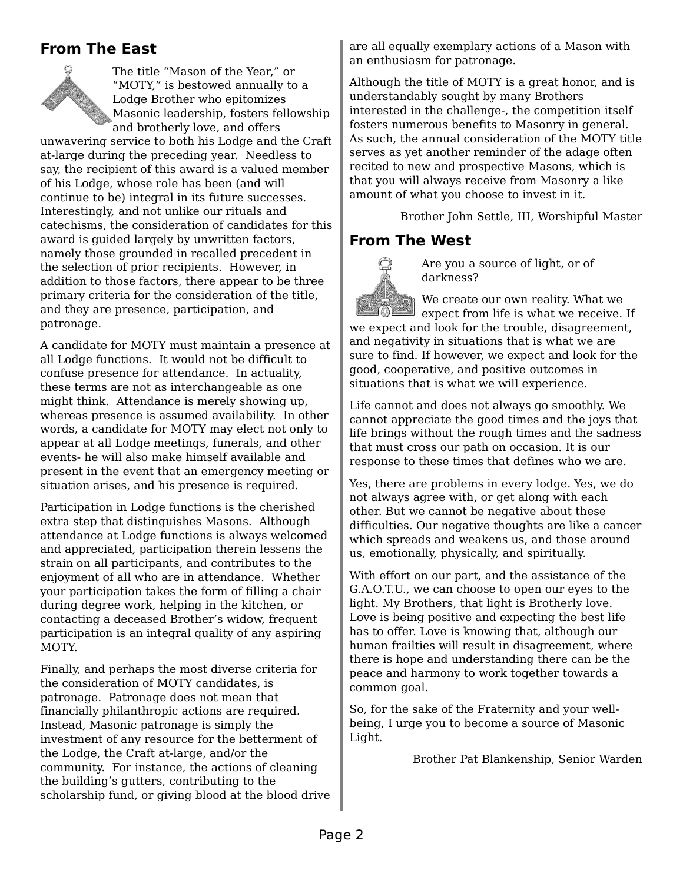#### **From The East**

The title "Mason of the Year," or "MOTY," is bestowed annually to a Lodge Brother who epitomizes Masonic leadership, fosters fellowship and brotherly love, and offers

unwavering service to both his Lodge and the Craft at-large during the preceding year. Needless to say, the recipient of this award is a valued member of his Lodge, whose role has been (and will continue to be) integral in its future successes. Interestingly, and not unlike our rituals and catechisms, the consideration of candidates for this award is guided largely by unwritten factors, namely those grounded in recalled precedent in the selection of prior recipients. However, in addition to those factors, there appear to be three primary criteria for the consideration of the title, and they are presence, participation, and patronage.

A candidate for MOTY must maintain a presence at all Lodge functions. It would not be difficult to confuse presence for attendance. In actuality, these terms are not as interchangeable as one might think. Attendance is merely showing up, whereas presence is assumed availability. In other words, a candidate for MOTY may elect not only to appear at all Lodge meetings, funerals, and other events- he will also make himself available and present in the event that an emergency meeting or situation arises, and his presence is required.

Participation in Lodge functions is the cherished extra step that distinguishes Masons. Although attendance at Lodge functions is always welcomed and appreciated, participation therein lessens the strain on all participants, and contributes to the enjoyment of all who are in attendance. Whether your participation takes the form of filling a chair during degree work, helping in the kitchen, or contacting a deceased Brother's widow, frequent participation is an integral quality of any aspiring MOTY.

Finally, and perhaps the most diverse criteria for the consideration of MOTY candidates, is patronage. Patronage does not mean that financially philanthropic actions are required. Instead, Masonic patronage is simply the investment of any resource for the betterment of the Lodge, the Craft at-large, and/or the community. For instance, the actions of cleaning the building's gutters, contributing to the scholarship fund, or giving blood at the blood drive are all equally exemplary actions of a Mason with an enthusiasm for patronage.

Although the title of MOTY is a great honor, and is understandably sought by many Brothers interested in the challenge-, the competition itself fosters numerous benefits to Masonry in general. As such, the annual consideration of the MOTY title serves as yet another reminder of the adage often recited to new and prospective Masons, which is that you will always receive from Masonry a like amount of what you choose to invest in it.

Brother John Settle, III, Worshipful Master

#### **From The West**



Are you a source of light, or of darkness?

We create our own reality. What we expect from life is what we receive. If we expect and look for the trouble, disagreement, and negativity in situations that is what we are sure to find. If however, we expect and look for the good, cooperative, and positive outcomes in situations that is what we will experience.

Life cannot and does not always go smoothly. We cannot appreciate the good times and the joys that life brings without the rough times and the sadness that must cross our path on occasion. It is our response to these times that defines who we are.

Yes, there are problems in every lodge. Yes, we do not always agree with, or get along with each other. But we cannot be negative about these difficulties. Our negative thoughts are like a cancer which spreads and weakens us, and those around us, emotionally, physically, and spiritually.

With effort on our part, and the assistance of the G.A.O.T.U., we can choose to open our eyes to the light. My Brothers, that light is Brotherly love. Love is being positive and expecting the best life has to offer. Love is knowing that, although our human frailties will result in disagreement, where there is hope and understanding there can be the peace and harmony to work together towards a common goal.

So, for the sake of the Fraternity and your wellbeing, I urge you to become a source of Masonic Light.

Brother Pat Blankenship, Senior Warden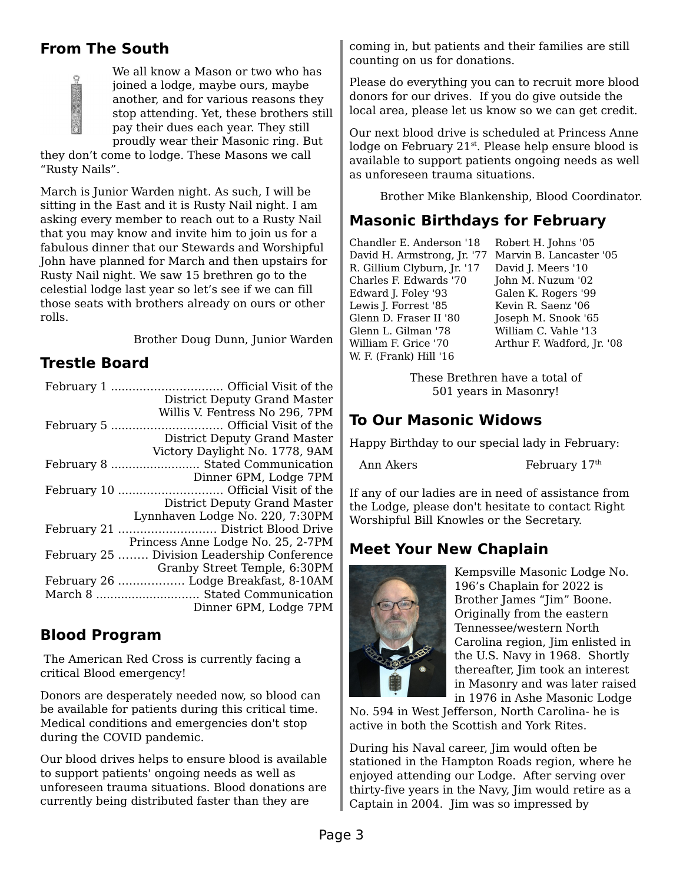# **From The South**

Ó

We all know a Mason or two who has joined a lodge, maybe ours, maybe another, and for various reasons they stop attending. Yet, these brothers still pay their dues each year. They still proudly wear their Masonic ring. But

they don't come to lodge. These Masons we call "Rusty Nails".

March is Junior Warden night. As such, I will be sitting in the East and it is Rusty Nail night. I am asking every member to reach out to a Rusty Nail that you may know and invite him to join us for a fabulous dinner that our Stewards and Worshipful John have planned for March and then upstairs for Rusty Nail night. We saw 15 brethren go to the celestial lodge last year so let's see if we can fill those seats with brothers already on ours or other rolls.

Brother Doug Dunn, Junior Warden

## **Trestle Board**

| <b>District Deputy Grand Master</b>         |  |  |
|---------------------------------------------|--|--|
| Willis V. Fentress No 296, 7PM              |  |  |
|                                             |  |  |
| <b>District Deputy Grand Master</b>         |  |  |
| Victory Daylight No. 1778, 9AM              |  |  |
| February 8  Stated Communication            |  |  |
| Dinner 6PM, Lodge 7PM                       |  |  |
|                                             |  |  |
| <b>District Deputy Grand Master</b>         |  |  |
| Lynnhaven Lodge No. 220, 7:30PM             |  |  |
|                                             |  |  |
| Princess Anne Lodge No. 25, 2-7PM           |  |  |
| February 25  Division Leadership Conference |  |  |
| Granby Street Temple, 6:30PM                |  |  |
| February 26  Lodge Breakfast, 8-10AM        |  |  |
| March 8  Stated Communication               |  |  |
| Dinner 6PM, Lodge 7PM                       |  |  |

## **Blood Program**

 The American Red Cross is currently facing a critical Blood emergency!

Donors are desperately needed now, so blood can be available for patients during this critical time. Medical conditions and emergencies don't stop during the COVID pandemic.

Our blood drives helps to ensure blood is available to support patients' ongoing needs as well as unforeseen trauma situations. Blood donations are currently being distributed faster than they are

coming in, but patients and their families are still counting on us for donations.

Please do everything you can to recruit more blood donors for our drives. If you do give outside the local area, please let us know so we can get credit.

Our next blood drive is scheduled at Princess Anne lodge on February 21<sup>st</sup>. Please help ensure blood is available to support patients ongoing needs as well as unforeseen trauma situations.

Brother Mike Blankenship, Blood Coordinator.

## **Masonic Birthdays for February**

Chandler E. Anderson '18 David H. Armstrong, Jr. '77 Marvin B. Lancaster '05 R. Gillium Clyburn, Jr. '17 Charles F. Edwards '70 Edward J. Foley '93 Lewis J. Forrest '85 Glenn D. Fraser II '80 Glenn L. Gilman '78 William F. Grice '70 W. F. (Frank) Hill '16

Robert H. Johns '05 David I. Meers '10 John M. Nuzum '02 Galen K. Rogers '99 Kevin R. Saenz '06 Joseph M. Snook '65 William C. Vahle '13 Arthur F. Wadford, Jr. '08

These Brethren have a total of 501 years in Masonry!

# **To Our Masonic Widows**

Happy Birthday to our special lady in February:

Ann Akers February 17<sup>th</sup>

If any of our ladies are in need of assistance from the Lodge, please don't hesitate to contact Right Worshipful Bill Knowles or the Secretary.

# **Meet Your New Chaplain**



Kempsville Masonic Lodge No. 196's Chaplain for 2022 is Brother James "Jim" Boone. Originally from the eastern Tennessee/western North Carolina region, Jim enlisted in the U.S. Navy in 1968. Shortly thereafter, Jim took an interest in Masonry and was later raised in 1976 in Ashe Masonic Lodge

No. 594 in West Jefferson, North Carolina- he is active in both the Scottish and York Rites.

During his Naval career, Jim would often be stationed in the Hampton Roads region, where he enjoyed attending our Lodge. After serving over thirty-five years in the Navy, Jim would retire as a Captain in 2004. Jim was so impressed by